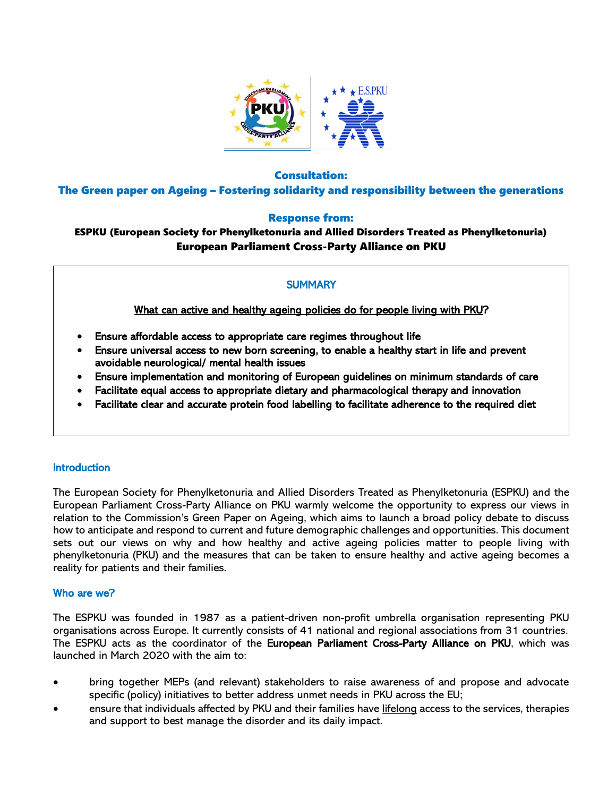

## Consultation:

The Green paper on Ageing – Fostering solidarity and responsibility between the generations

# Response from:

# ESPKU (European Society for Phenylketonuria and Allied Disorders Treated as Phenylketonuria) European Parliament Cross-Party Alliance on PKU

# **SUMMARY**

What can active and healthy ageing policies do for people living with PKU?

- Ensure affordable access to appropriate care regimes throughout life
- Ensure universal access to new born screening, to enable a healthy start in life and prevent avoidable neurological/ mental health issues
- Ensure implementation and monitoring of European guidelines on minimum standards of care
- Facilitate equal access to appropriate dietary and pharmacological therapy and innovation
- Facilitate clear and accurate protein food labelling to facilitate adherence to the required diet

### Introduction

The European Society for Phenylketonuria and Allied Disorders Treated as Phenylketonuria (ESPKU) and the European Parliament Cross-Party Alliance on PKU warmly welcome the opportunity to express our views in relation to the Commission's Green Paper on Ageing, which aims to launch a broad policy debate to discuss how to anticipate and respond to current and future demographic challenges and opportunities. This document sets out our views on why and how healthy and active ageing policies matter to people living with phenylketonuria (PKU) and the measures that can be taken to ensure healthy and active ageing becomes a reality for patients and their families.

### Who are we?

The ESPKU was founded in 1987 as a patient-driven non-profit umbrella organisation representing PKU organisations across Europe. It currently consists of 41 national and regional associations from 31 countries. The ESPKU acts as the coordinator of the European Parliament Cross-Party Alliance on PKU, which was launched in March 2020 with the aim to:

- bring together MEPs (and relevant) stakeholders to raise awareness of and propose and advocate specific (policy) initiatives to better address unmet needs in PKU across the EU;
- ensure that individuals affected by PKU and their families have lifelong access to the services, therapies and support to best manage the disorder and its daily impact.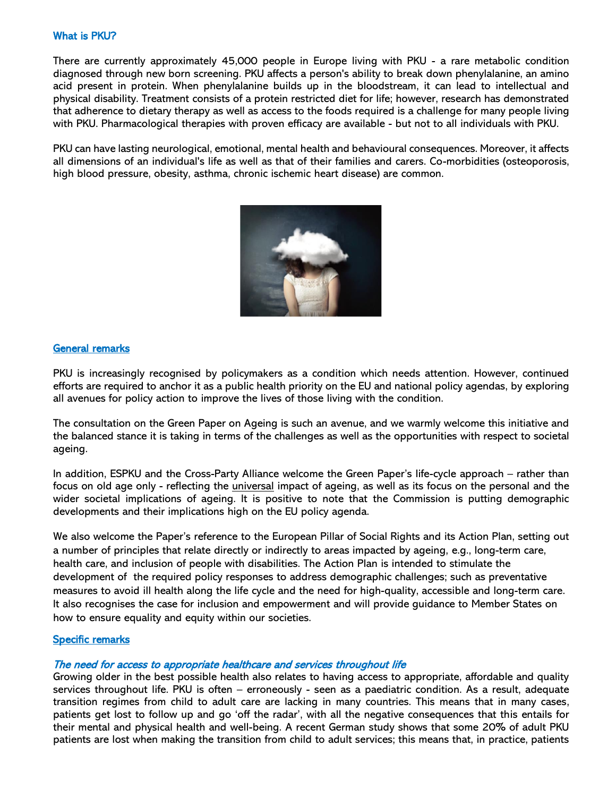### What is PKU?

There are currently approximately 45,000 people in Europe living with PKU - a rare metabolic condition diagnosed through new born screening. PKU affects a person's ability to break down phenylalanine, an amino acid present in protein. When phenylalanine builds up in the bloodstream, it can lead to intellectual and physical disability. Treatment consists of a protein restricted diet for life; however, research has demonstrated that adherence to dietary therapy as well as access to the foods required is a challenge for many people living with PKU. Pharmacological therapies with proven efficacy are available - but not to all individuals with PKU.

PKU can have lasting neurological, emotional, mental health and behavioural consequences. Moreover, it affects all dimensions of an individual's life as well as that of their families and carers. Co-morbidities (osteoporosis, high blood pressure, obesity, asthma, chronic ischemic heart disease) are common.



### General remarks

PKU is increasingly recognised by policymakers as a condition which needs attention. However, continued efforts are required to anchor it as a public health priority on the EU and national policy agendas, by exploring all avenues for policy action to improve the lives of those living with the condition.

The consultation on the Green Paper on Ageing is such an avenue, and we warmly welcome this initiative and the balanced stance it is taking in terms of the challenges as well as the opportunities with respect to societal ageing.

In addition, ESPKU and the Cross-Party Alliance welcome the Green Paper's life-cycle approach – rather than focus on old age only - reflecting the universal impact of ageing, as well as its focus on the personal and the wider societal implications of ageing. It is positive to note that the Commission is putting demographic developments and their implications high on the EU policy agenda.

We also welcome the Paper's reference to the European Pillar of Social Rights and its Action Plan, setting out a number of principles that relate directly or indirectly to areas impacted by ageing, e.g., long-term care, health care, and inclusion of people with disabilities. The Action Plan is intended to stimulate the development of the required policy responses to address demographic challenges; such as preventative measures to avoid ill health along the life cycle and the need for high-quality, accessible and long-term care. It also recognises the case for inclusion and empowerment and will provide guidance to Member States on how to ensure equality and equity within our societies.

#### Specific remarks

#### The need for access to appropriate healthcare and services throughout life

Growing older in the best possible health also relates to having access to appropriate, affordable and quality services throughout life. PKU is often – erroneously - seen as a paediatric condition. As a result, adequate transition regimes from child to adult care are lacking in many countries. This means that in many cases, patients get lost to follow up and go 'off the radar', with all the negative consequences that this entails for their mental and physical health and well-being. A recent German study shows that some 20% of adult PKU patients are lost when making the transition from child to adult services; this means that, in practice, patients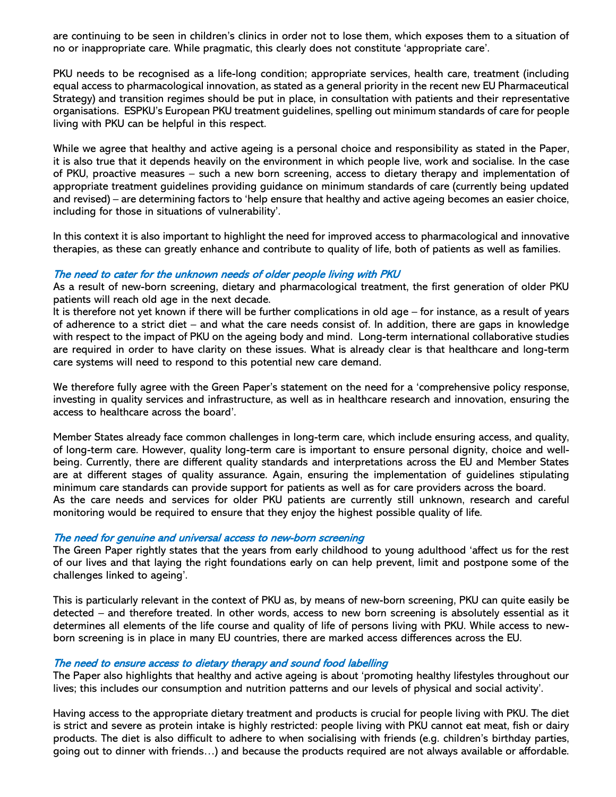are continuing to be seen in children's clinics in order not to lose them, which exposes them to a situation of no or inappropriate care. While pragmatic, this clearly does not constitute 'appropriate care'.

PKU needs to be recognised as a life-long condition; appropriate services, health care, treatment (including equal access to pharmacological innovation, as stated as a general priority in the recent new EU Pharmaceutical Strategy) and transition regimes should be put in place, in consultation with patients and their representative organisations. ESPKU's European PKU treatment guidelines, spelling out minimum standards of care for people living with PKU can be helpful in this respect.

While we agree that healthy and active ageing is a personal choice and responsibility as stated in the Paper, it is also true that it depends heavily on the environment in which people live, work and socialise. In the case of PKU, proactive measures – such a new born screening, access to dietary therapy and implementation of appropriate treatment guidelines providing guidance on minimum standards of care (currently being updated and revised) – are determining factors to 'help ensure that healthy and active ageing becomes an easier choice, including for those in situations of vulnerability'.

In this context it is also important to highlight the need for improved access to pharmacological and innovative therapies, as these can greatly enhance and contribute to quality of life, both of patients as well as families.

#### The need to cater for the unknown needs of older people living with PKU

As a result of new-born screening, dietary and pharmacological treatment, the first generation of older PKU patients will reach old age in the next decade.

It is therefore not yet known if there will be further complications in old age – for instance, as a result of years of adherence to a strict diet – and what the care needs consist of. In addition, there are gaps in knowledge with respect to the impact of PKU on the ageing body and mind. Long-term international collaborative studies are required in order to have clarity on these issues. What is already clear is that healthcare and long-term care systems will need to respond to this potential new care demand.

We therefore fully agree with the Green Paper's statement on the need for a 'comprehensive policy response, investing in quality services and infrastructure, as well as in healthcare research and innovation, ensuring the access to healthcare across the board'.

Member States already face common challenges in long-term care, which include ensuring access, and quality, of long-term care. However, quality long-term care is important to ensure personal dignity, choice and wellbeing. Currently, there are different quality standards and interpretations across the EU and Member States are at different stages of quality assurance. Again, ensuring the implementation of guidelines stipulating minimum care standards can provide support for patients as well as for care providers across the board. As the care needs and services for older PKU patients are currently still unknown, research and careful monitoring would be required to ensure that they enjoy the highest possible quality of life.

#### The need for genuine and universal access to new-born screening

The Green Paper rightly states that the years from early childhood to young adulthood 'affect us for the rest of our lives and that laying the right foundations early on can help prevent, limit and postpone some of the challenges linked to ageing'.

This is particularly relevant in the context of PKU as, by means of new-born screening, PKU can quite easily be detected – and therefore treated. In other words, access to new born screening is absolutely essential as it determines all elements of the life course and quality of life of persons living with PKU. While access to newborn screening is in place in many EU countries, there are marked access differences across the EU.

### The need to ensure access to dietary therapy and sound food labelling

The Paper also highlights that healthy and active ageing is about 'promoting healthy lifestyles throughout our lives; this includes our consumption and nutrition patterns and our levels of physical and social activity'.

Having access to the appropriate dietary treatment and products is crucial for people living with PKU. The diet is strict and severe as protein intake is highly restricted: people living with PKU cannot eat meat, fish or dairy products. The diet is also difficult to adhere to when socialising with friends (e.g. children's birthday parties, going out to dinner with friends…) and because the products required are not always available or affordable.